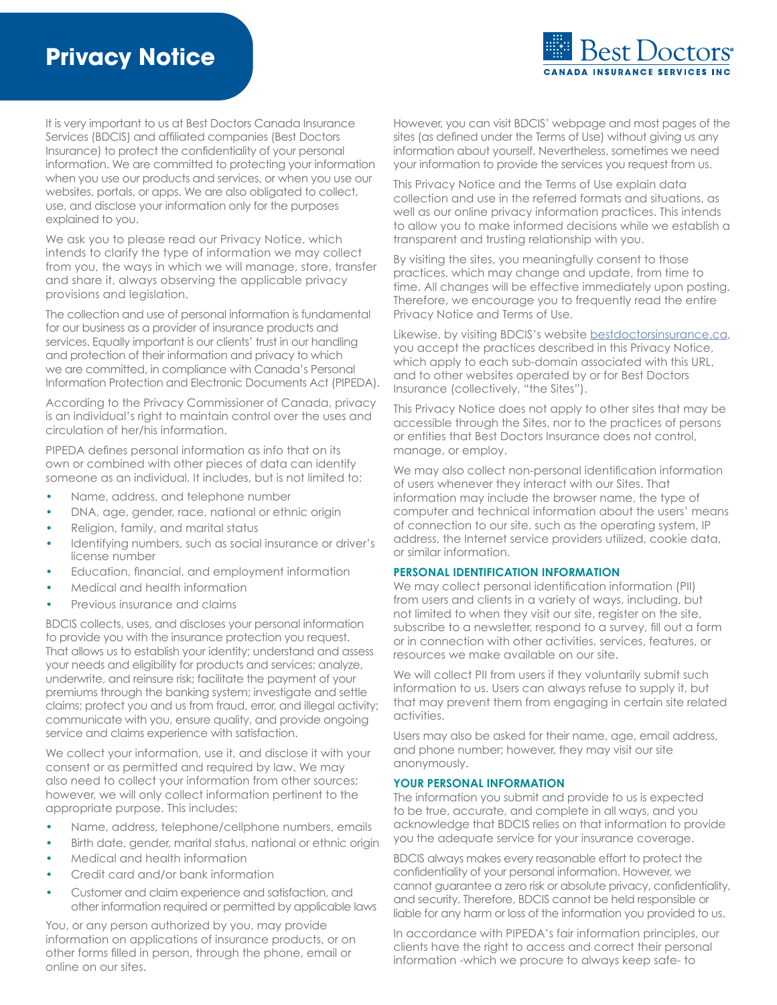

It is very important to us at Best Doctors Canada Insurance Services (BDCIS) and affiliated companies (Best Doctors Insurance) to protect the confidentiality of your personal information. We are committed to protecting your information when you use our products and services, or when you use our websites, portals, or apps. We are also obligated to collect, use, and disclose your information only for the purposes explained to you.

We ask you to please read our Privacy Notice, which intends to clarify the type of information we may collect from you, the ways in which we will manage, store, transfer and share it, always observing the applicable privacy provisions and legislation.

The collection and use of personal information is fundamental for our business as a provider of insurance products and services. Equally important is our clients' trust in our handling and protection of their information and privacy to which we are committed, in compliance with Canada's Personal Information Protection and Electronic Documents Act (PIPEDA).

According to the Privacy Commissioner of Canada, privacy is an individual's right to maintain control over the uses and circulation of her/his information.

PIPEDA defines personal information as info that on its own or combined with other pieces of data can identify someone as an individual. It includes, but is not limited to:

- **•** Name, address, and telephone number
- **•** DNA, age, gender, race, national or ethnic origin
- **•** Religion, family, and marital status
- **•** Identifying numbers, such as social insurance or driver's license number
- **•** Education, financial, and employment information
- **•** Medical and health information
- **•** Previous insurance and claims

BDCIS collects, uses, and discloses your personal information to provide you with the insurance protection you request. That allows us to establish your identity; understand and assess your needs and eligibility for products and services; analyze, underwrite, and reinsure risk; facilitate the payment of your premiums through the banking system; investigate and settle claims; protect you and us from fraud, error, and illegal activity; communicate with you, ensure quality, and provide ongoing service and claims experience with satisfaction.

We collect your information, use it, and disclose it with your consent or as permitted and required by law. We may also need to collect your information from other sources; however, we will only collect information pertinent to the appropriate purpose. This includes:

- **•** Name, address, telephone/cellphone numbers, emails
- **•** Birth date, gender, marital status, national or ethnic origin
- **•** Medical and health information
- **•** Credit card and/or bank information
- **•** Customer and claim experience and satisfaction, and other information required or permitted by applicable laws

You, or any person authorized by you, may provide information on applications of insurance products, or on other forms filled in person, through the phone, email or online on our sites.

However, you can visit BDCIS' webpage and most pages of the sites (as defined under the Terms of Use) without giving us any information about yourself. Nevertheless, sometimes we need your information to provide the services you request from us.

This Privacy Notice and the Terms of Use explain data collection and use in the referred formats and situations, as well as our online privacy information practices. This intends to allow you to make informed decisions while we establish a transparent and trusting relationship with you.

By visiting the sites, you meaningfully consent to those practices, which may change and update, from time to time. All changes will be effective immediately upon posting. Therefore, we encourage you to frequently read the entire Privacy Notice and Terms of Use.

Likewise, by visiting BDCIS's website [bestdoctorsinsurance.ca,](http://www.bestdoctorsinsurance.ca) you accept the practices described in this Privacy Notice, which apply to each sub-domain associated with this URL, and to other websites operated by or for Best Doctors Insurance (collectively, "the Sites").

This Privacy Notice does not apply to other sites that may be accessible through the Sites, nor to the practices of persons or entities that Best Doctors Insurance does not control, manage, or employ.

We may also collect non-personal identification information of users whenever they interact with our Sites. That information may include the browser name, the type of computer and technical information about the users' means of connection to our site, such as the operating system, IP address, the Internet service providers utilized, cookie data, or similar information.

## **PERSONAL IDENTIFICATION INFORMATION**

We may collect personal identification information (PII) from users and clients in a variety of ways, including, but not limited to when they visit our site, register on the site, subscribe to a newsletter, respond to a survey, fill out a form or in connection with other activities, services, features, or resources we make available on our site.

We will collect PII from users if they voluntarily submit such information to us. Users can always refuse to supply it, but that may prevent them from engaging in certain site related activities.

Users may also be asked for their name, age, email address, and phone number; however, they may visit our site anonymously.

## **YOUR PERSONAL INFORMATION**

The information you submit and provide to us is expected to be true, accurate, and complete in all ways, and you acknowledge that BDCIS relies on that information to provide you the adequate service for your insurance coverage.

BDCIS always makes every reasonable effort to protect the confidentiality of your personal information. However, we cannot guarantee a zero risk or absolute privacy, confidentiality, and security. Therefore, BDCIS cannot be held responsible or liable for any harm or loss of the information you provided to us.

In accordance with PIPEDA's fair information principles, our clients have the right to access and correct their personal information -which we procure to always keep safe- to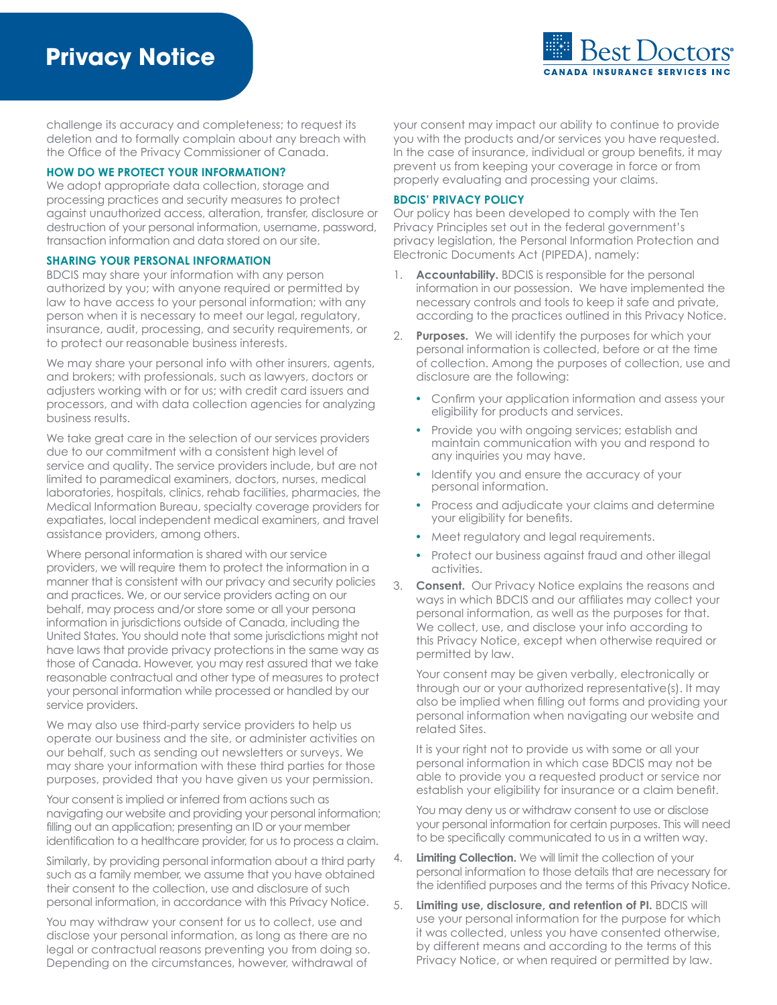

challenge its accuracy and completeness; to request its deletion and to formally complain about any breach with the Office of the Privacy Commissioner of Canada.

## **HOW DO WE PROTECT YOUR INFORMATION?**

We adopt appropriate data collection, storage and processing practices and security measures to protect against unauthorized access, alteration, transfer, disclosure or destruction of your personal information, username, password, transaction information and data stored on our site.

#### **SHARING YOUR PERSONAL INFORMATION**

BDCIS may share your information with any person authorized by you; with anyone required or permitted by law to have access to your personal information; with any person when it is necessary to meet our legal, regulatory, insurance, audit, processing, and security requirements, or to protect our reasonable business interests.

We may share your personal info with other insurers, agents, and brokers; with professionals, such as lawyers, doctors or adjusters working with or for us; with credit card issuers and processors, and with data collection agencies for analyzing business results.

We take great care in the selection of our services providers due to our commitment with a consistent high level of service and quality. The service providers include, but are not limited to paramedical examiners, doctors, nurses, medical laboratories, hospitals, clinics, rehab facilities, pharmacies, the Medical Information Bureau, specialty coverage providers for expatiates, local independent medical examiners, and travel assistance providers, among others.

Where personal information is shared with our service providers, we will require them to protect the information in a manner that is consistent with our privacy and security policies and practices. We, or our service providers acting on our behalf, may process and/or store some or all your persona information in jurisdictions outside of Canada, including the United States. You should note that some jurisdictions might not have laws that provide privacy protections in the same way as those of Canada. However, you may rest assured that we take reasonable contractual and other type of measures to protect your personal information while processed or handled by our service providers.

We may also use third-party service providers to help us operate our business and the site, or administer activities on our behalf, such as sending out newsletters or surveys. We may share your information with these third parties for those purposes, provided that you have given us your permission.

Your consent is implied or inferred from actions such as navigating our website and providing your personal information; filling out an application; presenting an ID or your member identification to a healthcare provider, for us to process a claim.

Similarly, by providing personal information about a third party such as a family member, we assume that you have obtained their consent to the collection, use and disclosure of such personal information, in accordance with this Privacy Notice.

You may withdraw your consent for us to collect, use and disclose your personal information, as long as there are no legal or contractual reasons preventing you from doing so. Depending on the circumstances, however, withdrawal of

your consent may impact our ability to continue to provide you with the products and/or services you have requested. In the case of insurance, individual or group benefits, it may prevent us from keeping your coverage in force or from properly evaluating and processing your claims.

#### **BDCIS' PRIVACY POLICY**

Our policy has been developed to comply with the Ten Privacy Principles set out in the federal government's privacy legislation, the Personal Information Protection and Electronic Documents Act (PIPEDA), namely:

- 1. **Accountability.** BDCIS is responsible for the personal information in our possession. We have implemented the necessary controls and tools to keep it safe and private, according to the practices outlined in this Privacy Notice.
- 2. **Purposes.** We will identify the purposes for which your personal information is collected, before or at the time of collection. Among the purposes of collection, use and disclosure are the following:
	- **•** Confirm your application information and assess your eligibility for products and services.
	- **•** Provide you with ongoing services; establish and maintain communication with you and respond to any inquiries you may have.
	- **•** Identify you and ensure the accuracy of your personal information.
	- **•** Process and adjudicate your claims and determine your eligibility for benefits.
	- **•** Meet regulatory and legal requirements.
	- **•** Protect our business against fraud and other illegal activities.
- 3. **Consent.** Our Privacy Notice explains the reasons and ways in which BDCIS and our affiliates may collect your personal information, as well as the purposes for that. We collect, use, and disclose your info according to this Privacy Notice, except when otherwise required or permitted by law.

Your consent may be given verbally, electronically or through our or your authorized representative(s). It may also be implied when filling out forms and providing your personal information when navigating our website and related Sites.

It is your right not to provide us with some or all your personal information in which case BDCIS may not be able to provide you a requested product or service nor establish your eligibility for insurance or a claim benefit.

You may deny us or withdraw consent to use or disclose your personal information for certain purposes. This will need to be specifically communicated to us in a written way.

- 4. **Limiting Collection.** We will limit the collection of your personal information to those details that are necessary for the identified purposes and the terms of this Privacy Notice.
- 5. **Limiting use, disclosure, and retention of PI.** BDCIS will use your personal information for the purpose for which it was collected, unless you have consented otherwise, by different means and according to the terms of this Privacy Notice, or when required or permitted by law.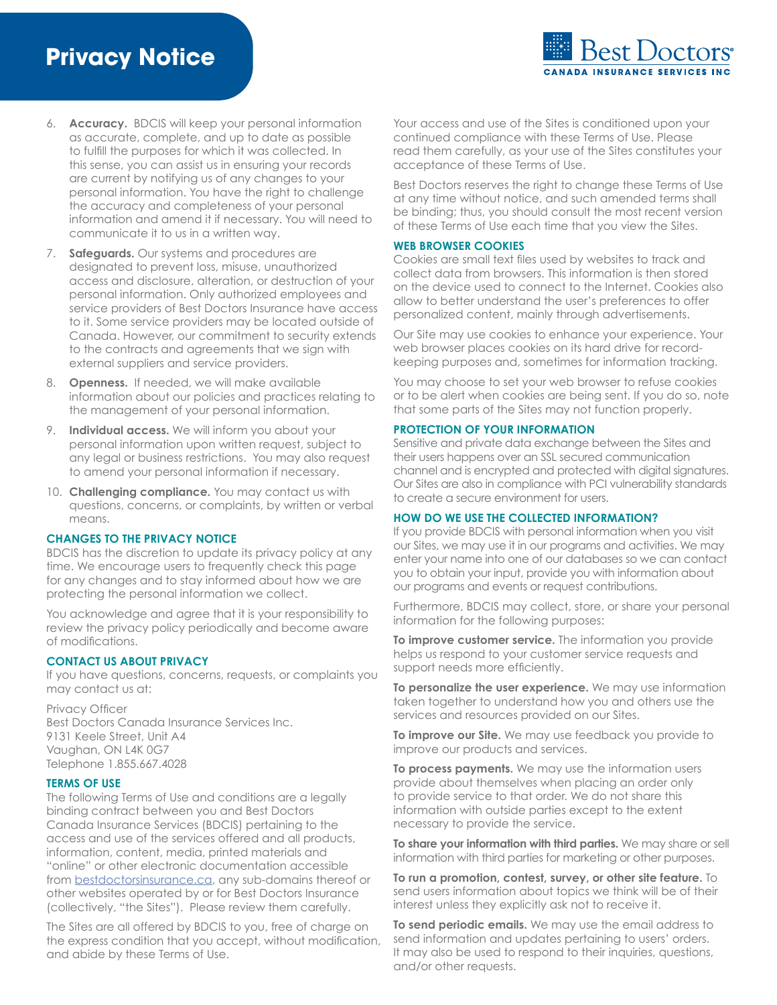

- 6. **Accuracy.** BDCIS will keep your personal information as accurate, complete, and up to date as possible to fulfill the purposes for which it was collected. In this sense, you can assist us in ensuring your records are current by notifying us of any changes to your personal information. You have the right to challenge the accuracy and completeness of your personal information and amend it if necessary. You will need to communicate it to us in a written way.
- 7. **Safeguards.** Our systems and procedures are designated to prevent loss, misuse, unauthorized access and disclosure, alteration, or destruction of your personal information. Only authorized employees and service providers of Best Doctors Insurance have access to it. Some service providers may be located outside of Canada. However, our commitment to security extends to the contracts and agreements that we sign with external suppliers and service providers.
- 8. **Openness.** If needed, we will make available information about our policies and practices relating to the management of your personal information.
- 9. **Individual access.** We will inform you about your personal information upon written request, subject to any legal or business restrictions. You may also request to amend your personal information if necessary.
- 10. **Challenging compliance.** You may contact us with questions, concerns, or complaints, by written or verbal means.

#### **CHANGES TO THE PRIVACY NOTICE**

BDCIS has the discretion to update its privacy policy at any time. We encourage users to frequently check this page for any changes and to stay informed about how we are protecting the personal information we collect.

You acknowledge and agree that it is your responsibility to review the privacy policy periodically and become aware of modifications.

## **CONTACT US ABOUT PRIVACY**

If you have questions, concerns, requests, or complaints you may contact us at:

Privacy Officer Best Doctors Canada Insurance Services Inc. 9131 Keele Street, Unit A4 Vaughan, ON L4K 0G7 Telephone 1.855.667.4028

#### **TERMS OF USE**

The following Terms of Use and conditions are a legally binding contract between you and Best Doctors Canada Insurance Services (BDCIS) pertaining to the access and use of the services offered and all products, information, content, media, printed materials and "online" or other electronic documentation accessible from [bestdoctorsinsurance.ca](http://www.bestdoctorsinsurance.ca), any sub-domains thereof or other websites operated by or for Best Doctors Insurance (collectively, "the Sites"). Please review them carefully.

The Sites are all offered by BDCIS to you, free of charge on the express condition that you accept, without modification, and abide by these Terms of Use.

Your access and use of the Sites is conditioned upon your continued compliance with these Terms of Use. Please read them carefully, as your use of the Sites constitutes your acceptance of these Terms of Use.

Best Doctors reserves the right to change these Terms of Use at any time without notice, and such amended terms shall be binding; thus, you should consult the most recent version of these Terms of Use each time that you view the Sites.

#### **WEB BROWSER COOKIES**

Cookies are small text files used by websites to track and collect data from browsers. This information is then stored on the device used to connect to the Internet. Cookies also allow to better understand the user's preferences to offer personalized content, mainly through advertisements.

Our Site may use cookies to enhance your experience. Your web browser places cookies on its hard drive for recordkeeping purposes and, sometimes for information tracking.

You may choose to set your web browser to refuse cookies or to be alert when cookies are being sent. If you do so, note that some parts of the Sites may not function properly.

#### **PROTECTION OF YOUR INFORMATION**

Sensitive and private data exchange between the Sites and their users happens over an SSL secured communication channel and is encrypted and protected with digital signatures. Our Sites are also in compliance with PCI vulnerability standards to create a secure environment for users.

#### **HOW DO WE USE THE COLLECTED INFORMATION?**

If you provide BDCIS with personal information when you visit our Sites, we may use it in our programs and activities. We may enter your name into one of our databases so we can contact you to obtain your input, provide you with information about our programs and events or request contributions.

Furthermore, BDCIS may collect, store, or share your personal information for the following purposes:

**To improve customer service.** The information you provide helps us respond to your customer service requests and support needs more efficiently.

**To personalize the user experience.** We may use information taken together to understand how you and others use the services and resources provided on our Sites.

**To improve our Site.** We may use feedback you provide to improve our products and services.

**To process payments.** We may use the information users provide about themselves when placing an order only to provide service to that order. We do not share this information with outside parties except to the extent necessary to provide the service.

**To share your information with third parties.** We may share or sell information with third parties for marketing or other purposes.

**To run a promotion, contest, survey, or other site feature.** To send users information about topics we think will be of their interest unless they explicitly ask not to receive it.

**To send periodic emails.** We may use the email address to send information and updates pertaining to users' orders. It may also be used to respond to their inquiries, questions, and/or other requests.